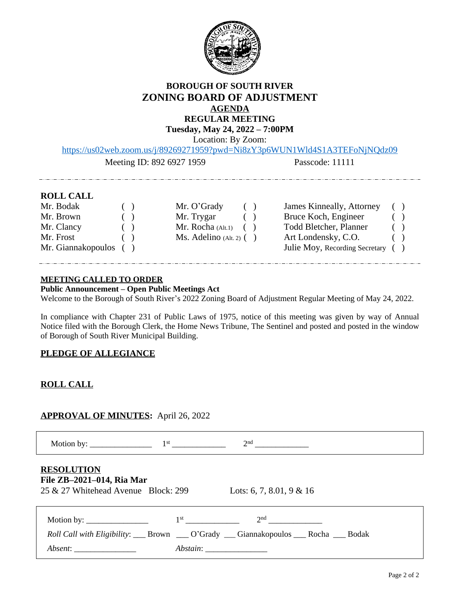

## **BOROUGH OF SOUTH RIVER ZONING BOARD OF ADJUSTMENT AGENDA REGULAR MEETING**

**Tuesday, May 24, 2022 – 7:00PM**

Location: By Zoom:

[https://us02web.zoom.us/j/89269271959?pwd=Ni8zY3p6WUN1Wld4S1A3TEFoNjNQdz09](about:blank)

<u> 2002 - Andrea Andreu, amerikan</u>

Meeting ID: 892 6927 1959 Passcode: 11111

## **ROLL CALL**

| Mr. Bodak             | $\sqrt{2}$             | Mr. O'Grady                  | ( | James Kinneally, Attorney         | ( |     |
|-----------------------|------------------------|------------------------------|---|-----------------------------------|---|-----|
| Mr. Brown             |                        | Mr. Trygar                   |   | Bruce Koch, Engineer              |   | ( ) |
| Mr. Clancy            | $\left( \quad \right)$ | Mr. Rocha $(Alt.1)$ ( )      |   | Todd Bletcher, Planner            |   | (   |
| Mr. Frost             |                        | $Ms.$ Adelino (Alt. 2) $( )$ |   | Art Londensky, C.O.               |   | (   |
| Mr. Giannakopoulos () |                        |                              |   | Julie Moy, Recording Secretary () |   |     |
|                       |                        |                              |   |                                   |   |     |

#### **MEETING CALLED TO ORDER**

**Public Announcement – Open Public Meetings Act**

Welcome to the Borough of South River's 2022 Zoning Board of Adjustment Regular Meeting of May 24, 2022.

In compliance with Chapter 231 of Public Laws of 1975, notice of this meeting was given by way of Annual Notice filed with the Borough Clerk, the Home News Tribune, The Sentinel and posted and posted in the window of Borough of South River Municipal Building.

### **PLEDGE OF ALLEGIANCE**

## **ROLL CALL**

## **APPROVAL OF MINUTES:** April 26, 2022

|                                                                                                                                                                                                                                                                                                                                                                                                                      |                 | 2 <sup>nd</sup>                                                      |  |
|----------------------------------------------------------------------------------------------------------------------------------------------------------------------------------------------------------------------------------------------------------------------------------------------------------------------------------------------------------------------------------------------------------------------|-----------------|----------------------------------------------------------------------|--|
| <b>RESOLUTION</b><br>File ZB-2021-014, Ria Mar<br>25 & 27 Whitehead Avenue Block: 299                                                                                                                                                                                                                                                                                                                                |                 | Lots: 6, 7, 8.01, 9 & 16                                             |  |
| Motion by: $\frac{1}{\sqrt{1-\frac{1}{2}}}\frac{1}{\sqrt{1-\frac{1}{2}}}\frac{1}{\sqrt{1-\frac{1}{2}}}\frac{1}{\sqrt{1-\frac{1}{2}}}\frac{1}{\sqrt{1-\frac{1}{2}}}\frac{1}{\sqrt{1-\frac{1}{2}}}\frac{1}{\sqrt{1-\frac{1}{2}}}\frac{1}{\sqrt{1-\frac{1}{2}}}\frac{1}{\sqrt{1-\frac{1}{2}}}\frac{1}{\sqrt{1-\frac{1}{2}}}\frac{1}{\sqrt{1-\frac{1}{2}}}\frac{1}{\sqrt{1-\frac{1}{2}}}\frac{1}{\sqrt{1-\frac{1}{2}}}\$ | 1 <sup>st</sup> | 2 <sup>nd</sup>                                                      |  |
|                                                                                                                                                                                                                                                                                                                                                                                                                      |                 | Roll Call with Eligibility: Brown Co'Grady Cannakopoulos Rocha Bodak |  |
|                                                                                                                                                                                                                                                                                                                                                                                                                      |                 |                                                                      |  |